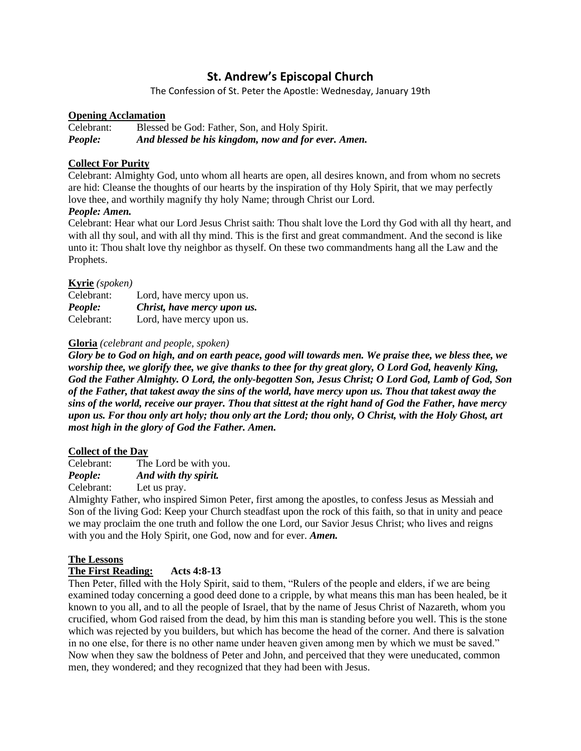# **St. Andrew's Episcopal Church**

The Confession of St. Peter the Apostle: Wednesday, January 19th

### **Opening Acclamation**

Celebrant: Blessed be God: Father, Son, and Holy Spirit. *People: And blessed be his kingdom, now and for ever. Amen.*

# **Collect For Purity**

Celebrant: Almighty God, unto whom all hearts are open, all desires known, and from whom no secrets are hid: Cleanse the thoughts of our hearts by the inspiration of thy Holy Spirit, that we may perfectly love thee, and worthily magnify thy holy Name; through Christ our Lord.

### *People: Amen.*

Celebrant: Hear what our Lord Jesus Christ saith: Thou shalt love the Lord thy God with all thy heart, and with all thy soul, and with all thy mind. This is the first and great commandment. And the second is like unto it: Thou shalt love thy neighbor as thyself. On these two commandments hang all the Law and the Prophets.

### **Kyrie** *(spoken)*

| Celebrant: | Lord, have mercy upon us.   |
|------------|-----------------------------|
| People:    | Christ, have mercy upon us. |
| Celebrant: | Lord, have mercy upon us.   |

# **Gloria** *(celebrant and people, spoken)*

*Glory be to God on high, and on earth peace, good will towards men. We praise thee, we bless thee, we worship thee, we glorify thee, we give thanks to thee for thy great glory, O Lord God, heavenly King, God the Father Almighty. O Lord, the only-begotten Son, Jesus Christ; O Lord God, Lamb of God, Son of the Father, that takest away the sins of the world, have mercy upon us. Thou that takest away the sins of the world, receive our prayer. Thou that sittest at the right hand of God the Father, have mercy upon us. For thou only art holy; thou only art the Lord; thou only, O Christ, with the Holy Ghost, art most high in the glory of God the Father. Amen.*

### **Collect of the Day**

Celebrant: The Lord be with you. *People: And with thy spirit.* Celebrant: Let us pray.

Almighty Father, who inspired Simon Peter, first among the apostles, to confess Jesus as Messiah and Son of the living God: Keep your Church steadfast upon the rock of this faith, so that in unity and peace we may proclaim the one truth and follow the one Lord, our Savior Jesus Christ; who lives and reigns with you and the Holy Spirit, one God, now and for ever. *Amen.*

### **The Lessons**

# **The First Reading: Acts 4:8-13**

Then Peter, filled with the Holy Spirit, said to them, "Rulers of the people and elders, if we are being examined today concerning a good deed done to a cripple, by what means this man has been healed, be it known to you all, and to all the people of Israel, that by the name of Jesus Christ of Nazareth, whom you crucified, whom God raised from the dead, by him this man is standing before you well. This is the stone which was rejected by you builders, but which has become the head of the corner. And there is salvation in no one else, for there is no other name under heaven given among men by which we must be saved." Now when they saw the boldness of Peter and John, and perceived that they were uneducated, common men, they wondered; and they recognized that they had been with Jesus.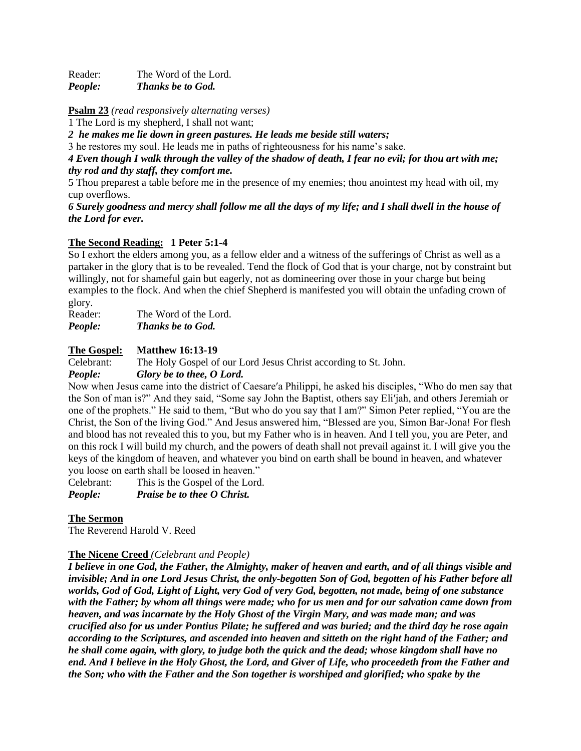Reader: The Word of the Lord. *People: Thanks be to God.*

**Psalm 23** *(read responsively alternating verses)*

1 The Lord is my shepherd, I shall not want;

*2 he makes me lie down in green pastures. He leads me beside still waters;*

3 he restores my soul. He leads me in paths of righteousness for his name's sake.

*4 Even though I walk through the valley of the shadow of death, I fear no evil; for thou art with me; thy rod and thy staff, they comfort me.*

5 Thou preparest a table before me in the presence of my enemies; thou anointest my head with oil, my cup overflows.

*6 Surely goodness and mercy shall follow me all the days of my life; and I shall dwell in the house of the Lord for ever.*

# **The Second Reading: 1 Peter 5:1-4**

So I exhort the elders among you, as a fellow elder and a witness of the sufferings of Christ as well as a partaker in the glory that is to be revealed. Tend the flock of God that is your charge, not by constraint but willingly, not for shameful gain but eagerly, not as domineering over those in your charge but being examples to the flock. And when the chief Shepherd is manifested you will obtain the unfading crown of glory.

Reader: The Word of the Lord. *People: Thanks be to God.*

### **The Gospel: Matthew 16:13-19**

Celebrant: The Holy Gospel of our Lord Jesus Christ according to St. John.

*People: Glory be to thee, O Lord.*

Now when Jesus came into the district of Caesare′a Philippi, he asked his disciples, "Who do men say that the Son of man is?" And they said, "Some say John the Baptist, others say Eli′jah, and others Jeremiah or one of the prophets." He said to them, "But who do you say that I am?" Simon Peter replied, "You are the Christ, the Son of the living God." And Jesus answered him, "Blessed are you, Simon Bar-Jona! For flesh and blood has not revealed this to you, but my Father who is in heaven. And I tell you, you are Peter, and on this rock I will build my church, and the powers of death shall not prevail against it. I will give you the keys of the kingdom of heaven, and whatever you bind on earth shall be bound in heaven, and whatever you loose on earth shall be loosed in heaven."

Celebrant: This is the Gospel of the Lord.

*People: Praise be to thee O Christ.*

### **The Sermon**

The Reverend Harold V. Reed

### **The Nicene Creed** *(Celebrant and People)*

*I believe in one God, the Father, the Almighty, maker of heaven and earth, and of all things visible and invisible; And in one Lord Jesus Christ, the only-begotten Son of God, begotten of his Father before all worlds, God of God, Light of Light, very God of very God, begotten, not made, being of one substance with the Father; by whom all things were made; who for us men and for our salvation came down from heaven, and was incarnate by the Holy Ghost of the Virgin Mary, and was made man; and was crucified also for us under Pontius Pilate; he suffered and was buried; and the third day he rose again according to the Scriptures, and ascended into heaven and sitteth on the right hand of the Father; and he shall come again, with glory, to judge both the quick and the dead; whose kingdom shall have no end. And I believe in the Holy Ghost, the Lord, and Giver of Life, who proceedeth from the Father and the Son; who with the Father and the Son together is worshiped and glorified; who spake by the*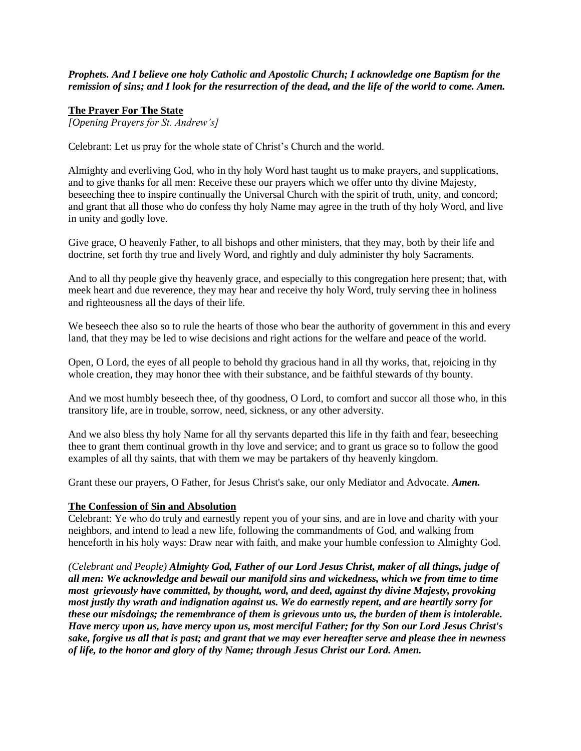*Prophets. And I believe one holy Catholic and Apostolic Church; I acknowledge one Baptism for the remission of sins; and I look for the resurrection of the dead, and the life of the world to come. Amen.*

#### **The Prayer For The State**

*[Opening Prayers for St. Andrew's]*

Celebrant: Let us pray for the whole state of Christ's Church and the world.

Almighty and everliving God, who in thy holy Word hast taught us to make prayers, and supplications, and to give thanks for all men: Receive these our prayers which we offer unto thy divine Majesty, beseeching thee to inspire continually the Universal Church with the spirit of truth, unity, and concord; and grant that all those who do confess thy holy Name may agree in the truth of thy holy Word, and live in unity and godly love.

Give grace, O heavenly Father, to all bishops and other ministers, that they may, both by their life and doctrine, set forth thy true and lively Word, and rightly and duly administer thy holy Sacraments.

And to all thy people give thy heavenly grace, and especially to this congregation here present; that, with meek heart and due reverence, they may hear and receive thy holy Word, truly serving thee in holiness and righteousness all the days of their life.

We beseech thee also so to rule the hearts of those who bear the authority of government in this and every land, that they may be led to wise decisions and right actions for the welfare and peace of the world.

Open, O Lord, the eyes of all people to behold thy gracious hand in all thy works, that, rejoicing in thy whole creation, they may honor thee with their substance, and be faithful stewards of thy bounty.

And we most humbly beseech thee, of thy goodness, O Lord, to comfort and succor all those who, in this transitory life, are in trouble, sorrow, need, sickness, or any other adversity.

And we also bless thy holy Name for all thy servants departed this life in thy faith and fear, beseeching thee to grant them continual growth in thy love and service; and to grant us grace so to follow the good examples of all thy saints, that with them we may be partakers of thy heavenly kingdom.

Grant these our prayers, O Father, for Jesus Christ's sake, our only Mediator and Advocate. *Amen.*

#### **The Confession of Sin and Absolution**

Celebrant: Ye who do truly and earnestly repent you of your sins, and are in love and charity with your neighbors, and intend to lead a new life, following the commandments of God, and walking from henceforth in his holy ways: Draw near with faith, and make your humble confession to Almighty God.

*(Celebrant and People) Almighty God, Father of our Lord Jesus Christ, maker of all things, judge of all men: We acknowledge and bewail our manifold sins and wickedness, which we from time to time most grievously have committed, by thought, word, and deed, against thy divine Majesty, provoking most justly thy wrath and indignation against us. We do earnestly repent, and are heartily sorry for these our misdoings; the remembrance of them is grievous unto us, the burden of them is intolerable. Have mercy upon us, have mercy upon us, most merciful Father; for thy Son our Lord Jesus Christ's sake, forgive us all that is past; and grant that we may ever hereafter serve and please thee in newness of life, to the honor and glory of thy Name; through Jesus Christ our Lord. Amen.*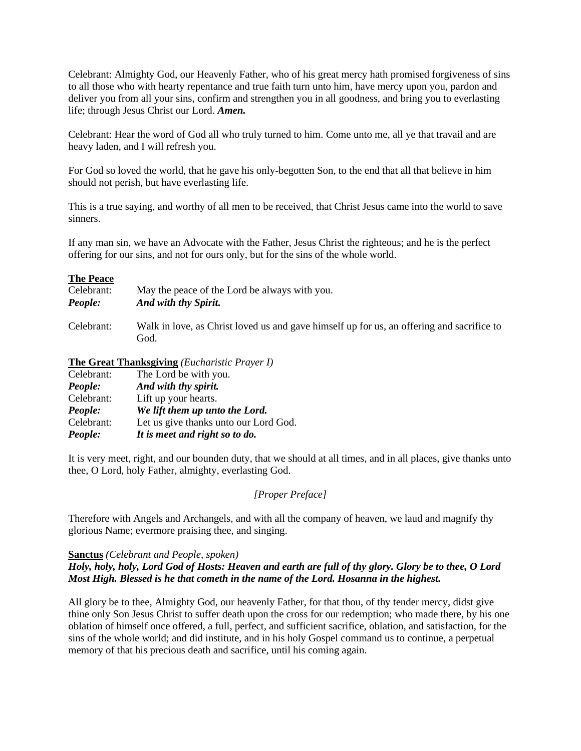Celebrant: Almighty God, our Heavenly Father, who of his great mercy hath promised forgiveness of sins to all those who with hearty repentance and true faith turn unto him, have mercy upon you, pardon and deliver you from all your sins, confirm and strengthen you in all goodness, and bring you to everlasting life; through Jesus Christ our Lord. *Amen.*

Celebrant: Hear the word of God all who truly turned to him. Come unto me, all ye that travail and are heavy laden, and I will refresh you.

For God so loved the world, that he gave his only-begotten Son, to the end that all that believe in him should not perish, but have everlasting life.

This is a true saying, and worthy of all men to be received, that Christ Jesus came into the world to save sinners.

If any man sin, we have an Advocate with the Father, Jesus Christ the righteous; and he is the perfect offering for our sins, and not for ours only, but for the sins of the whole world.

#### **The Peace**

| Celebrant: | May the peace of the Lord be always with you.                                                     |
|------------|---------------------------------------------------------------------------------------------------|
| People:    | And with thy Spirit.                                                                              |
| Celebrant: | Walk in love, as Christ loved us and gave himself up for us, an offering and sacrifice to<br>God. |

# **The Great Thanksgiving** *(Eucharistic Prayer I)*

| Celebrant: | The Lord be with you.                 |
|------------|---------------------------------------|
| People:    | And with thy spirit.                  |
| Celebrant: | Lift up your hearts.                  |
| People:    | We lift them up unto the Lord.        |
| Celebrant: | Let us give thanks unto our Lord God. |
| People:    | It is meet and right so to do.        |

It is very meet, right, and our bounden duty, that we should at all times, and in all places, give thanks unto thee, O Lord, holy Father, almighty, everlasting God.

#### *[Proper Preface]*

Therefore with Angels and Archangels, and with all the company of heaven, we laud and magnify thy glorious Name; evermore praising thee, and singing.

#### **Sanctus** *(Celebrant and People, spoken)*

### *Holy, holy, holy, Lord God of Hosts: Heaven and earth are full of thy glory. Glory be to thee, O Lord Most High. Blessed is he that cometh in the name of the Lord. Hosanna in the highest.*

All glory be to thee, Almighty God, our heavenly Father, for that thou, of thy tender mercy, didst give thine only Son Jesus Christ to suffer death upon the cross for our redemption; who made there, by his one oblation of himself once offered, a full, perfect, and sufficient sacrifice, oblation, and satisfaction, for the sins of the whole world; and did institute, and in his holy Gospel command us to continue, a perpetual memory of that his precious death and sacrifice, until his coming again.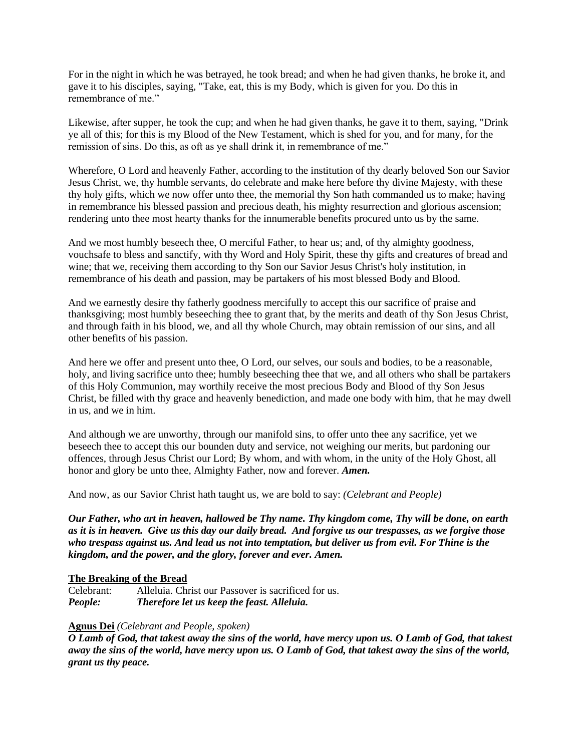For in the night in which he was betrayed, he took bread; and when he had given thanks, he broke it, and gave it to his disciples, saying, "Take, eat, this is my Body, which is given for you. Do this in remembrance of me."

Likewise, after supper, he took the cup; and when he had given thanks, he gave it to them, saying, "Drink ye all of this; for this is my Blood of the New Testament, which is shed for you, and for many, for the remission of sins. Do this, as oft as ye shall drink it, in remembrance of me."

Wherefore, O Lord and heavenly Father, according to the institution of thy dearly beloved Son our Savior Jesus Christ, we, thy humble servants, do celebrate and make here before thy divine Majesty, with these thy holy gifts, which we now offer unto thee, the memorial thy Son hath commanded us to make; having in remembrance his blessed passion and precious death, his mighty resurrection and glorious ascension; rendering unto thee most hearty thanks for the innumerable benefits procured unto us by the same.

And we most humbly beseech thee, O merciful Father, to hear us; and, of thy almighty goodness, vouchsafe to bless and sanctify, with thy Word and Holy Spirit, these thy gifts and creatures of bread and wine; that we, receiving them according to thy Son our Savior Jesus Christ's holy institution, in remembrance of his death and passion, may be partakers of his most blessed Body and Blood.

And we earnestly desire thy fatherly goodness mercifully to accept this our sacrifice of praise and thanksgiving; most humbly beseeching thee to grant that, by the merits and death of thy Son Jesus Christ, and through faith in his blood, we, and all thy whole Church, may obtain remission of our sins, and all other benefits of his passion.

And here we offer and present unto thee, O Lord, our selves, our souls and bodies, to be a reasonable, holy, and living sacrifice unto thee; humbly beseeching thee that we, and all others who shall be partakers of this Holy Communion, may worthily receive the most precious Body and Blood of thy Son Jesus Christ, be filled with thy grace and heavenly benediction, and made one body with him, that he may dwell in us, and we in him.

And although we are unworthy, through our manifold sins, to offer unto thee any sacrifice, yet we beseech thee to accept this our bounden duty and service, not weighing our merits, but pardoning our offences, through Jesus Christ our Lord; By whom, and with whom, in the unity of the Holy Ghost, all honor and glory be unto thee, Almighty Father, now and forever. *Amen.*

And now, as our Savior Christ hath taught us, we are bold to say: *(Celebrant and People)*

*Our Father, who art in heaven, hallowed be Thy name. Thy kingdom come, Thy will be done, on earth as it is in heaven. Give us this day our daily bread. And forgive us our trespasses, as we forgive those who trespass against us. And lead us not into temptation, but deliver us from evil. For Thine is the kingdom, and the power, and the glory, forever and ever. Amen.*

#### **The Breaking of the Bread**

Celebrant: Alleluia. Christ our Passover is sacrificed for us. *People: Therefore let us keep the feast. Alleluia.*

# **Agnus Dei** *(Celebrant and People, spoken)*

*O Lamb of God, that takest away the sins of the world, have mercy upon us. O Lamb of God, that takest away the sins of the world, have mercy upon us. O Lamb of God, that takest away the sins of the world, grant us thy peace.*